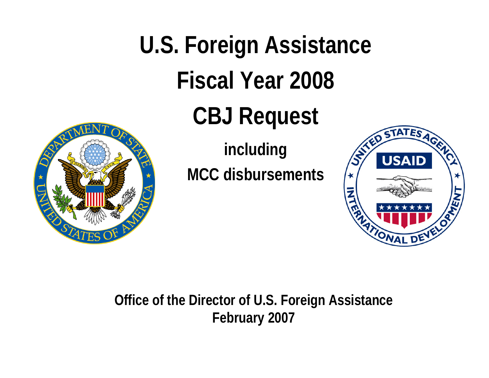

**U.S. Foreign Assistance Fiscal Year 2008CBJ Request** 

> **including MCC disbursements**



**Office of the Director of U.S. Foreign Assistance February 2007**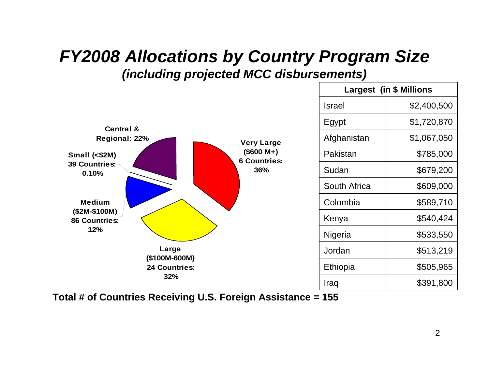#### *FY2008 Allocations by Country Program Size (including projected MCC disbursements)*



**Total # of Countries Receiving U.S. Foreign Assistance = 155**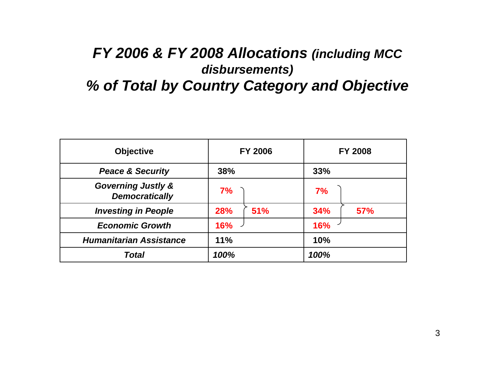#### *FY 2006 & FY 2008 Allocations (including MCC disbursements) % of Total by Country Category and Objective*

| <b>Objective</b>                                       | <b>FY 2006</b> |     |      | <b>FY 2008</b> |
|--------------------------------------------------------|----------------|-----|------|----------------|
| <b>Peace &amp; Security</b>                            | 38%            |     | 33%  |                |
| <b>Governing Justly &amp;</b><br><b>Democratically</b> | 7%             |     | 7%   |                |
| <b>Investing in People</b>                             | 28%            | 51% | 34%  | 57%            |
| <b>Economic Growth</b>                                 | <b>16%</b>     |     | 16%  |                |
| <b>Humanitarian Assistance</b>                         | 11%            |     | 10%  |                |
| Total                                                  | 100%           |     | 100% |                |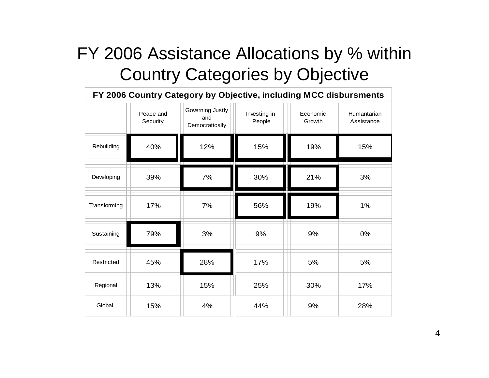## FY 2006 Assistance Allocations by % within **Country Categories by Objective**

| FY 2006 Country Category by Objective, including MCC disbursments |                       |                                           |                        |                    |                           |  |  |
|-------------------------------------------------------------------|-----------------------|-------------------------------------------|------------------------|--------------------|---------------------------|--|--|
|                                                                   | Peace and<br>Security | Governing Justly<br>and<br>Democratically | Investing in<br>People | Economic<br>Growth | Humantarian<br>Assistance |  |  |
| Rebuilding                                                        | 40%                   | 12%                                       | 15%                    | 19%                | 15%                       |  |  |
| Developing                                                        | 39%                   | 7%                                        | 30%                    | 21%                | 3%                        |  |  |
| Transforming                                                      | 17%                   | 7%                                        | 56%                    | 19%                | 1%                        |  |  |
| Sustaining                                                        | 79%                   | 3%                                        | 9%                     | 9%                 | 0%                        |  |  |
| Restricted                                                        | 45%                   | 28%                                       | 17%                    | 5%                 | 5%                        |  |  |
| Regional                                                          | 13%                   | 15%                                       | 25%                    | 30%                | 17%                       |  |  |
| Global                                                            | 15%                   | 4%                                        | 44%                    | 9%                 | 28%                       |  |  |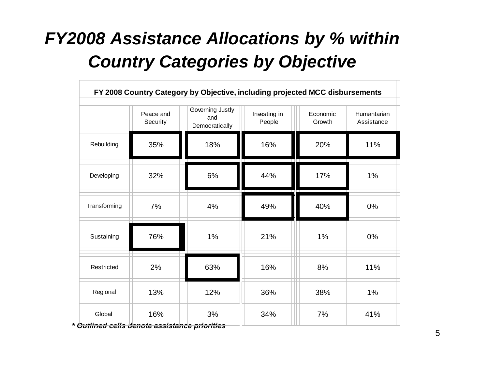## *FY2008 Assistance Allocations by % within Country Categories by Objective*

| FY 2008 Country Category by Objective, including projected MCC disbursements |                       |                                           |                        |                    |                           |  |  |
|------------------------------------------------------------------------------|-----------------------|-------------------------------------------|------------------------|--------------------|---------------------------|--|--|
|                                                                              | Peace and<br>Security | Governing Justly<br>and<br>Democratically | Investing in<br>People | Economic<br>Growth | Humantarian<br>Assistance |  |  |
| Rebuilding                                                                   | 35%                   | 18%                                       | 16%                    | 20%                | 11%                       |  |  |
| Developing                                                                   | 32%                   | 6%                                        | 44%                    | 17%                | 1%                        |  |  |
| Transforming                                                                 | 7%                    | 4%                                        | 49%                    | 40%                | 0%                        |  |  |
| Sustaining                                                                   | 76%                   | 1%                                        | 21%                    | 1%<br>m n          | 0%                        |  |  |
| Restricted                                                                   | 2%                    | 63%                                       | 16%                    | 8%                 | 11%                       |  |  |
| Regional                                                                     | 13%                   | 12%                                       | 36%                    | 38%                | 1%                        |  |  |
| Global                                                                       | 16%                   | 3%<br>.                                   | 34%                    | 7%                 | 41%                       |  |  |

*\* Outlined cells denote assistance priorities*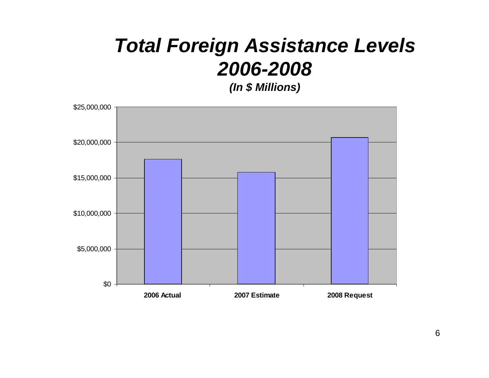# **Total Foreign Assistance Levels** 2006-2008

(In \$ Millions)

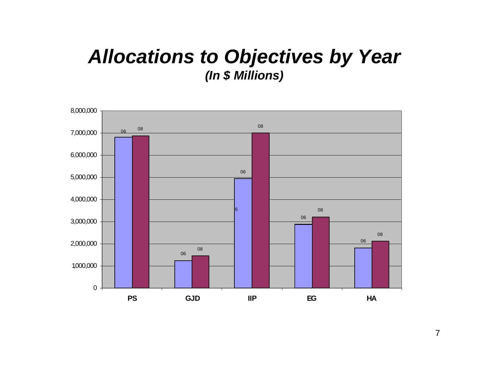### *Allocations to Objectives by Year (In \$ Millions)*

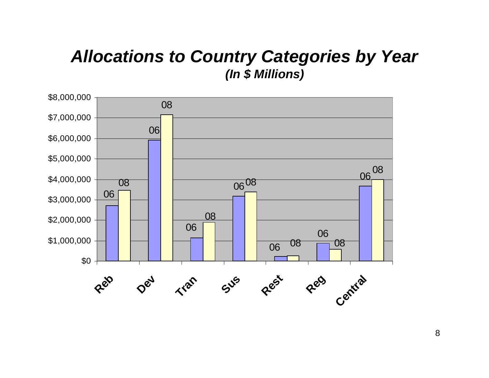#### *Allocations to Country Categories by Year (In \$ Millions)*

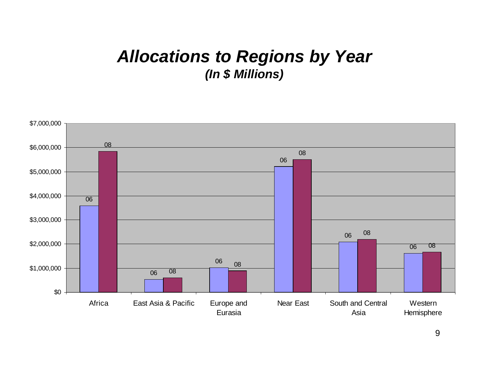#### **Allocations to Regions by Year** (In \$ Millions)

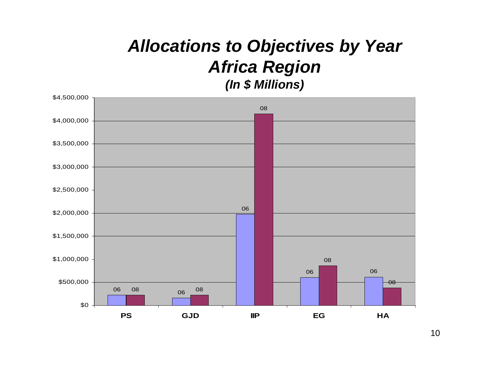#### *Allocations to Objectives by Year Africa Region (In \$ Millions)*

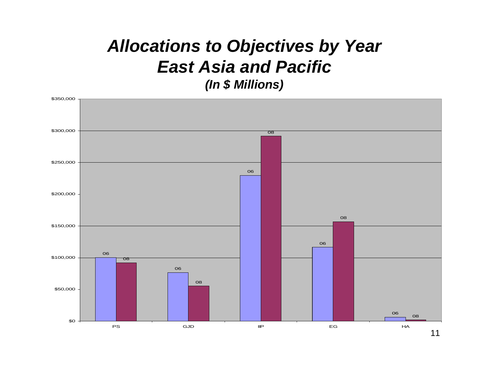#### *Allocations to Objectives by Year East Asia and Pacific(In \$ Millions)*

![](_page_10_Figure_1.jpeg)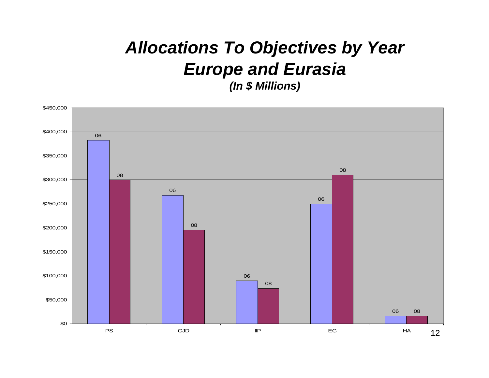#### *Allocations To Objectives by Year Europe and Eurasia (In \$ Millions)*

![](_page_11_Figure_1.jpeg)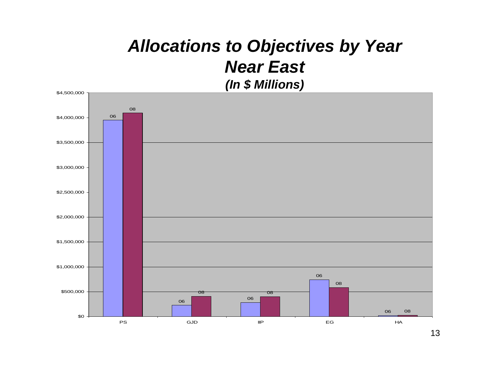#### *Allocations to Objectives by Year Near East (In \$ Millions)*

![](_page_12_Figure_1.jpeg)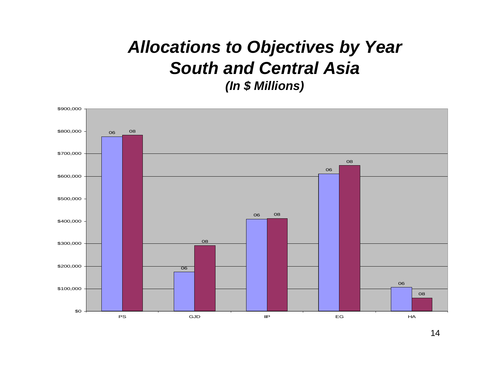#### *Allocations to Objectives by Year South and Central Asia(In \$ Millions)*

![](_page_13_Figure_1.jpeg)